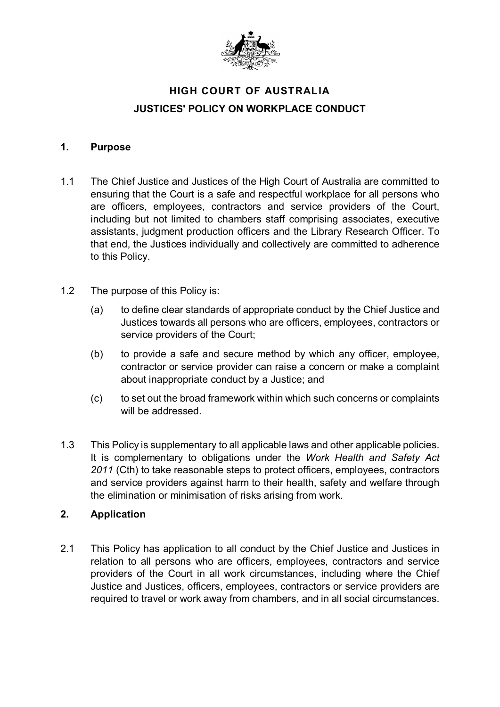

# **HIGH COURT OF AUSTRALIA JUSTICES' POLICY ON WORKPLACE CONDUCT**

#### **1. Purpose**

- 1.1 The Chief Justice and Justices of the High Court of Australia are committed to ensuring that the Court is a safe and respectful workplace for all persons who are officers, employees, contractors and service providers of the Court, including but not limited to chambers staff comprising associates, executive assistants, judgment production officers and the Library Research Officer. To that end, the Justices individually and collectively are committed to adherence to this Policy.
- 1.2 The purpose of this Policy is:
	- (a) to define clear standards of appropriate conduct by the Chief Justice and Justices towards all persons who are officers, employees, contractors or service providers of the Court;
	- (b) to provide a safe and secure method by which any officer, employee, contractor or service provider can raise a concern or make a complaint about inappropriate conduct by a Justice; and
	- (c) to set out the broad framework within which such concerns or complaints will be addressed.
- 1.3 This Policy is supplementary to all applicable laws and other applicable policies. It is complementary to obligations under the *Work Health and Safety Act 2011* (Cth) to take reasonable steps to protect officers, employees, contractors and service providers against harm to their health, safety and welfare through the elimination or minimisation of risks arising from work.

### **2. Application**

2.1 This Policy has application to all conduct by the Chief Justice and Justices in relation to all persons who are officers, employees, contractors and service providers of the Court in all work circumstances, including where the Chief Justice and Justices, officers, employees, contractors or service providers are required to travel or work away from chambers, and in all social circumstances.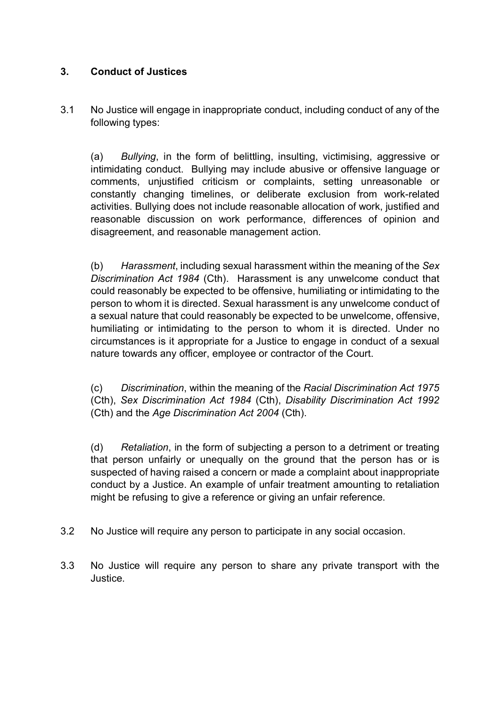## **3. Conduct of Justices**

3.1 No Justice will engage in inappropriate conduct, including conduct of any of the following types:

(a) *Bullying*, in the form of belittling, insulting, victimising, aggressive or intimidating conduct. Bullying may include abusive or offensive language or comments, unjustified criticism or complaints, setting unreasonable or constantly changing timelines, or deliberate exclusion from work-related activities. Bullying does not include reasonable allocation of work, justified and reasonable discussion on work performance, differences of opinion and disagreement, and reasonable management action.

(b) *Harassment*, including sexual harassment within the meaning of the *Sex Discrimination Act 1984* (Cth). Harassment is any unwelcome conduct that could reasonably be expected to be offensive, humiliating or intimidating to the person to whom it is directed. Sexual harassment is any unwelcome conduct of a sexual nature that could reasonably be expected to be unwelcome, offensive, humiliating or intimidating to the person to whom it is directed. Under no circumstances is it appropriate for a Justice to engage in conduct of a sexual nature towards any officer, employee or contractor of the Court.

(c) *Discrimination*, within the meaning of the *Racial Discrimination Act 1975* (Cth), *Sex Discrimination Act 1984* (Cth), *Disability Discrimination Act 1992* (Cth) and the *Age Discrimination Act 2004* (Cth).

(d) *Retaliation*, in the form of subjecting a person to a detriment or treating that person unfairly or unequally on the ground that the person has or is suspected of having raised a concern or made a complaint about inappropriate conduct by a Justice. An example of unfair treatment amounting to retaliation might be refusing to give a reference or giving an unfair reference.

- 3.2 No Justice will require any person to participate in any social occasion.
- 3.3 No Justice will require any person to share any private transport with the Justice.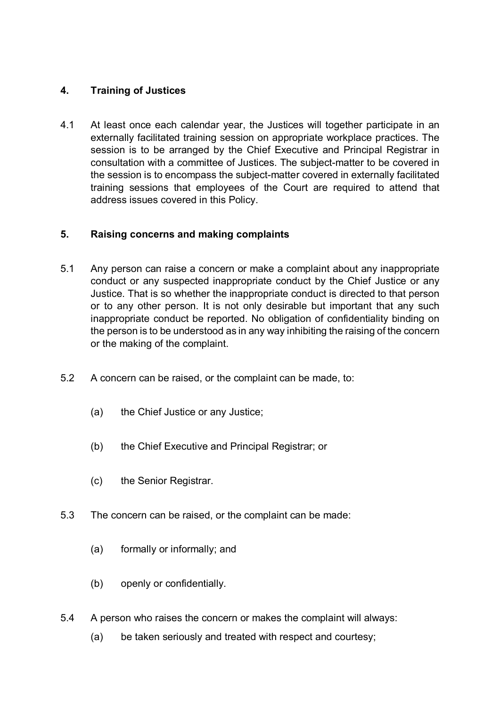## **4. Training of Justices**

4.1 At least once each calendar year, the Justices will together participate in an externally facilitated training session on appropriate workplace practices. The session is to be arranged by the Chief Executive and Principal Registrar in consultation with a committee of Justices. The subject-matter to be covered in the session is to encompass the subject-matter covered in externally facilitated training sessions that employees of the Court are required to attend that address issues covered in this Policy.

## **5. Raising concerns and making complaints**

- 5.1 Any person can raise a concern or make a complaint about any inappropriate conduct or any suspected inappropriate conduct by the Chief Justice or any Justice. That is so whether the inappropriate conduct is directed to that person or to any other person. It is not only desirable but important that any such inappropriate conduct be reported. No obligation of confidentiality binding on the person is to be understood as in any way inhibiting the raising of the concern or the making of the complaint.
- 5.2 A concern can be raised, or the complaint can be made, to:
	- (a) the Chief Justice or any Justice;
	- (b) the Chief Executive and Principal Registrar; or
	- (c) the Senior Registrar.
- 5.3 The concern can be raised, or the complaint can be made:
	- (a) formally or informally; and
	- (b) openly or confidentially.
- 5.4 A person who raises the concern or makes the complaint will always:
	- (a) be taken seriously and treated with respect and courtesy;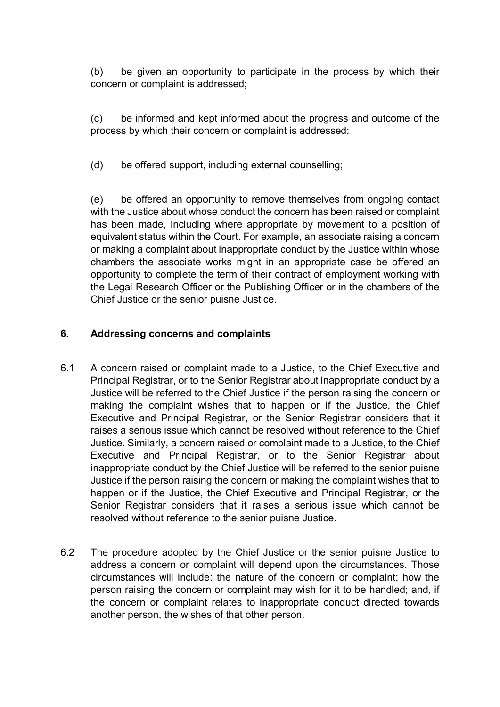(b) be given an opportunity to participate in the process by which their concern or complaint is addressed;

(c) be informed and kept informed about the progress and outcome of the process by which their concern or complaint is addressed;

(d) be offered support, including external counselling;

(e) be offered an opportunity to remove themselves from ongoing contact with the Justice about whose conduct the concern has been raised or complaint has been made, including where appropriate by movement to a position of equivalent status within the Court. For example, an associate raising a concern or making a complaint about inappropriate conduct by the Justice within whose chambers the associate works might in an appropriate case be offered an opportunity to complete the term of their contract of employment working with the Legal Research Officer or the Publishing Officer or in the chambers of the Chief Justice or the senior puisne Justice.

## **6. Addressing concerns and complaints**

- 6.1 A concern raised or complaint made to a Justice, to the Chief Executive and Principal Registrar, or to the Senior Registrar about inappropriate conduct by a Justice will be referred to the Chief Justice if the person raising the concern or making the complaint wishes that to happen or if the Justice, the Chief Executive and Principal Registrar, or the Senior Registrar considers that it raises a serious issue which cannot be resolved without reference to the Chief Justice. Similarly, a concern raised or complaint made to a Justice, to the Chief Executive and Principal Registrar, or to the Senior Registrar about inappropriate conduct by the Chief Justice will be referred to the senior puisne Justice if the person raising the concern or making the complaint wishes that to happen or if the Justice, the Chief Executive and Principal Registrar, or the Senior Registrar considers that it raises a serious issue which cannot be resolved without reference to the senior puisne Justice.
- 6.2 The procedure adopted by the Chief Justice or the senior puisne Justice to address a concern or complaint will depend upon the circumstances. Those circumstances will include: the nature of the concern or complaint; how the person raising the concern or complaint may wish for it to be handled; and, if the concern or complaint relates to inappropriate conduct directed towards another person, the wishes of that other person.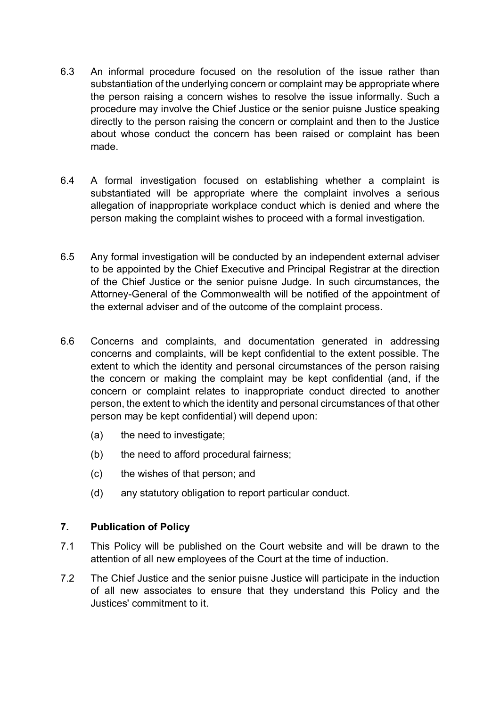- 6.3 An informal procedure focused on the resolution of the issue rather than substantiation of the underlying concern or complaint may be appropriate where the person raising a concern wishes to resolve the issue informally. Such a procedure may involve the Chief Justice or the senior puisne Justice speaking directly to the person raising the concern or complaint and then to the Justice about whose conduct the concern has been raised or complaint has been made.
- 6.4 A formal investigation focused on establishing whether a complaint is substantiated will be appropriate where the complaint involves a serious allegation of inappropriate workplace conduct which is denied and where the person making the complaint wishes to proceed with a formal investigation.
- 6.5 Any formal investigation will be conducted by an independent external adviser to be appointed by the Chief Executive and Principal Registrar at the direction of the Chief Justice or the senior puisne Judge. In such circumstances, the Attorney-General of the Commonwealth will be notified of the appointment of the external adviser and of the outcome of the complaint process.
- 6.6 Concerns and complaints, and documentation generated in addressing concerns and complaints, will be kept confidential to the extent possible. The extent to which the identity and personal circumstances of the person raising the concern or making the complaint may be kept confidential (and, if the concern or complaint relates to inappropriate conduct directed to another person, the extent to which the identity and personal circumstances of that other person may be kept confidential) will depend upon:
	- (a) the need to investigate;
	- (b) the need to afford procedural fairness;
	- (c) the wishes of that person; and
	- (d) any statutory obligation to report particular conduct.

### **7. Publication of Policy**

- 7.1 This Policy will be published on the Court website and will be drawn to the attention of all new employees of the Court at the time of induction.
- 7.2 The Chief Justice and the senior puisne Justice will participate in the induction of all new associates to ensure that they understand this Policy and the Justices' commitment to it.